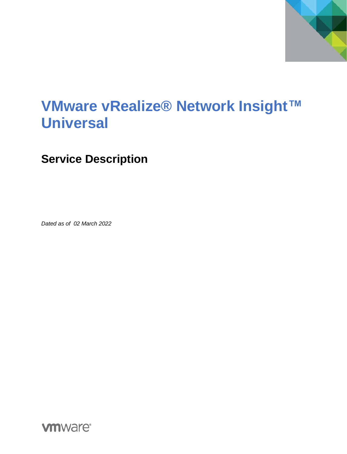

# **VMware vRealize® Network Insight™ Universal**

**Service Description**

*Dated as of 02 March 2022*

**vm**ware<sup>®</sup>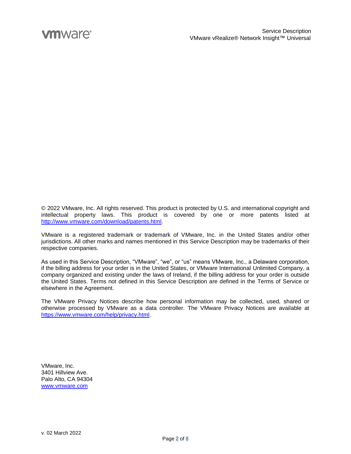© 2022 VMware, Inc. All rights reserved. This product is protected by U.S. and international copyright and intellectual property laws. This product is covered by one or more patents listed at [http://www.vmware.com/download/patents.html.](http://www.vmware.com/download/patents.html)

VMware is a registered trademark or trademark of VMware, Inc. in the United States and/or other jurisdictions. All other marks and names mentioned in this Service Description may be trademarks of their respective companies.

As used in this Service Description, "VMware", "we", or "us" means VMware, Inc., a Delaware corporation, if the billing address for your order is in the United States, or VMware International Unlimited Company, a company organized and existing under the laws of Ireland, if the billing address for your order is outside the United States. Terms not defined in this Service Description are defined in the Terms of Service or elsewhere in the Agreement.

The VMware Privacy Notices describe how personal information may be collected, used, shared or otherwise processed by VMware as a data controller. The VMware Privacy Notices are available at [https://www.vmware.com/help/privacy.html.](https://www.vmware.com/help/privacy.html)

VMware, Inc. 3401 Hillview Ave. Palo Alto, CA 94304 [www.vmware.com](http://www.vmware.com/)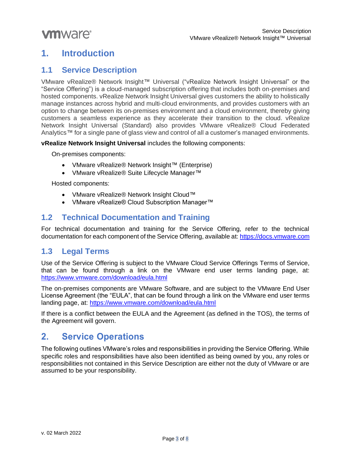# **1. Introduction**

### **1.1 Service Description**

VMware vRealize® Network Insight™ Universal ("vRealize Network Insight Universal" or the "Service Offering") is a cloud-managed subscription offering that includes both on-premises and hosted components. vRealize Network Insight Universal gives customers the ability to holistically manage instances across hybrid and multi-cloud environments, and provides customers with an option to change between its on-premises environment and a cloud environment, thereby giving customers a seamless experience as they accelerate their transition to the cloud. vRealize Network Insight Universal (Standard) also provides VMware vRealize® Cloud Federated Analytics™ for a single pane of glass view and control of all a customer's managed environments.

**vRealize Network Insight Universal** includes the following components:

On-premises components:

- VMware vRealize® Network Insight™ (Enterprise)
- VMware vRealize® Suite Lifecycle Manager™

Hosted components:

- VMware vRealize® Network Insight Cloud™
- VMware vRealize® Cloud Subscription Manager™

## **1.2 Technical Documentation and Training**

For technical documentation and training for the Service Offering, refer to the technical documentation for each component of the Service Offering, available at: [https://docs.vmware.com](https://docs.vmware.com/)

## **1.3 Legal Terms**

Use of the Service Offering is subject to the VMware Cloud Service Offerings Terms of Service, that can be found through a link on the VMware end user terms landing page, at: <https://www.vmware.com/download/eula.html>

The on-premises components are VMware Software, and are subject to the VMware End User License Agreement (the "EULA", that can be found through a link on the VMware end user terms landing page, at:<https://www.vmware.com/download/eula.html>

If there is a conflict between the EULA and the Agreement (as defined in the TOS), the terms of the Agreement will govern.

# **2. Service Operations**

The following outlines VMware's roles and responsibilities in providing the Service Offering. While specific roles and responsibilities have also been identified as being owned by you, any roles or responsibilities not contained in this Service Description are either not the duty of VMware or are assumed to be your responsibility.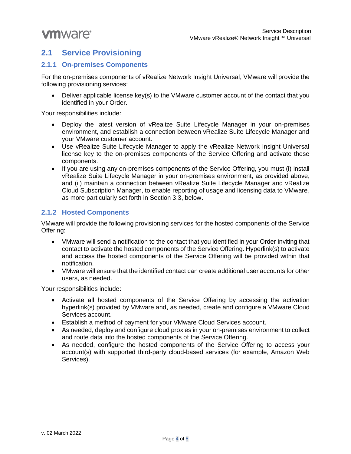# **2.1 Service Provisioning**

#### **2.1.1 On-premises Components**

For the on-premises components of vRealize Network Insight Universal, VMware will provide the following provisioning services:

• Deliver applicable license key(s) to the VMware customer account of the contact that you identified in your Order.

Your responsibilities include:

- Deploy the latest version of vRealize Suite Lifecycle Manager in your on-premises environment, and establish a connection between vRealize Suite Lifecycle Manager and your VMware customer account.
- Use vRealize Suite Lifecycle Manager to apply the vRealize Network Insight Universal license key to the on-premises components of the Service Offering and activate these components.
- If you are using any on-premises components of the Service Offering, you must (i) install vRealize Suite Lifecycle Manager in your on-premises environment, as provided above, and (ii) maintain a connection between vRealize Suite Lifecycle Manager and vRealize Cloud Subscription Manager, to enable reporting of usage and licensing data to VMware, as more particularly set forth in Section 3.3, below.

#### **2.1.2 Hosted Components**

VMware will provide the following provisioning services for the hosted components of the Service Offering:

- VMware will send a notification to the contact that you identified in your Order inviting that contact to activate the hosted components of the Service Offering. Hyperlink(s) to activate and access the hosted components of the Service Offering will be provided within that notification.
- VMware will ensure that the identified contact can create additional user accounts for other users, as needed.

Your responsibilities include:

- Activate all hosted components of the Service Offering by accessing the activation hyperlink(s) provided by VMware and, as needed, create and configure a VMware Cloud Services account.
- Establish a method of payment for your VMware Cloud Services account.
- As needed, deploy and configure cloud proxies in your on-premises environment to collect and route data into the hosted components of the Service Offering.
- As needed, configure the hosted components of the Service Offering to access your account(s) with supported third-party cloud-based services (for example, Amazon Web Services).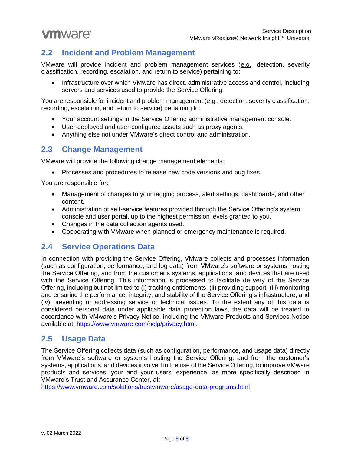# **2.2 Incident and Problem Management**

VMware will provide incident and problem management services (e.g., detection, severity classification, recording, escalation, and return to service) pertaining to:

• Infrastructure over which VMware has direct, administrative access and control, including servers and services used to provide the Service Offering.

You are responsible for incident and problem management (e.g., detection, severity classification, recording, escalation, and return to service) pertaining to:

- Your account settings in the Service Offering administrative management console.
- User-deployed and user-configured assets such as proxy agents.
- Anything else not under VMware's direct control and administration.

## **2.3 Change Management**

VMware will provide the following change management elements:

• Processes and procedures to release new code versions and bug fixes.

You are responsible for:

- Management of changes to your tagging process, alert settings, dashboards, and other content.
- Administration of self-service features provided through the Service Offering's system console and user portal, up to the highest permission levels granted to you.
- Changes in the data collection agents used.
- Cooperating with VMware when planned or emergency maintenance is required.

#### **2.4 Service Operations Data**

In connection with providing the Service Offering, VMware collects and processes information (such as configuration, performance, and log data) from VMware's software or systems hosting the Service Offering, and from the customer's systems, applications, and devices that are used with the Service Offering. This information is processed to facilitate delivery of the Service Offering, including but not limited to (i) tracking entitlements, (ii) providing support, (iii) monitoring and ensuring the performance, integrity, and stability of the Service Offering's infrastructure, and (iv) preventing or addressing service or technical issues. To the extent any of this data is considered personal data under applicable data protection laws, the data will be treated in accordance with VMware's Privacy Notice, including the VMware Products and Services Notice available at: [https://www.vmware.com/help/privacy.html.](https://www.vmware.com/help/privacy.html)

#### **2.5 Usage Data**

The Service Offering collects data (such as configuration, performance, and usage data) directly from VMware's software or systems hosting the Service Offering, and from the customer's systems, applications, and devices involved in the use of the Service Offering, to improve VMware products and services, your and your users' experience, as more specifically described in VMware's Trust and Assurance Center, at:

[https://www.vmware.com/solutions/trustvmware/usage-data-programs.html.](https://www.vmware.com/solutions/trustvmware/usage-data-programs.html)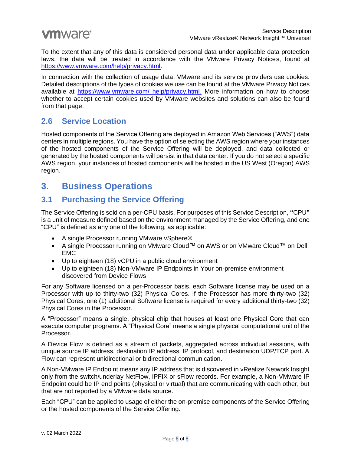To the extent that any of this data is considered personal data under applicable data protection laws, the data will be treated in accordance with the VMware Privacy Notices, found at [https://www.vmware.com/help/privacy.html.](https://www.vmware.com/help/privacy.html)

In connection with the collection of usage data, VMware and its service providers use cookies. Detailed descriptions of the types of cookies we use can be found at the VMware Privacy Notices available at [https://www.vmware.com/ help/privacy.html.](https://www.vmware.com/%20help/privacy.html) More information on how to choose whether to accept certain cookies used by VMware websites and solutions can also be found from that page.

## **2.6 Service Location**

Hosted components of the Service Offering are deployed in Amazon Web Services ("AWS") data centers in multiple regions. You have the option of selecting the AWS region where your instances of the hosted components of the Service Offering will be deployed, and data collected or generated by the hosted components will persist in that data center. If you do not select a specific AWS region, your instances of hosted components will be hosted in the US West (Oregon) AWS region.

# **3. Business Operations**

# **3.1 Purchasing the Service Offering**

The Service Offering is sold on a per-CPU basis. For purposes of this Service Description, **"**CPU**"** is a unit of measure defined based on the environment managed by the Service Offering, and one "CPU" is defined as any one of the following, as applicable:

- A single Processor running VMware vSphere®
- A single Processor running on VMware Cloud™ on AWS or on VMware Cloud™ on Dell EMC
- Up to eighteen (18) vCPU in a public cloud environment
- Up to eighteen (18) Non-VMware IP Endpoints in Your on-premise environment discovered from Device Flows

For any Software licensed on a per-Processor basis, each Software license may be used on a Processor with up to thirty-two (32) Physical Cores. If the Processor has more thirty-two (32) Physical Cores, one (1) additional Software license is required for every additional thirty-two (32) Physical Cores in the Processor.

A "Processor" means a single, physical chip that houses at least one Physical Core that can execute computer programs. A "Physical Core" means a single physical computational unit of the Processor.

A Device Flow is defined as a stream of packets, aggregated across individual sessions, with unique source IP address, destination IP address, IP protocol, and destination UDP/TCP port. A Flow can represent unidirectional or bidirectional communication.

A Non-VMware IP Endpoint means any IP address that is discovered in vRealize Network Insight only from the switch/underlay NetFlow, IPFIX or sFlow records. For example, a Non-VMware IP Endpoint could be IP end points (physical or virtual) that are communicating with each other, but that are not reported by a VMware data source.

Each "CPU" can be applied to usage of either the on-premise components of the Service Offering or the hosted components of the Service Offering.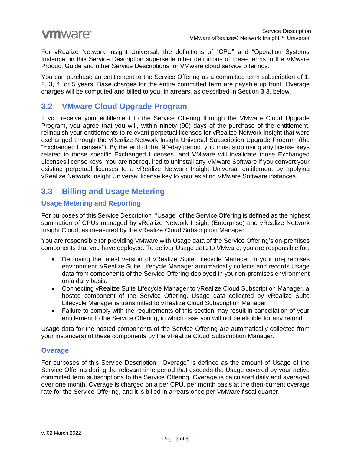For vRealize Network Insight Universal, the definitions of "CPU" and "Operation Systems Instance" in this Service Description supersede other definitions of these terms in the VMware Product Guide and other Service Descriptions for VMware cloud service offerings.

You can purchase an entitlement to the Service Offering as a committed term subscription of 1, 2, 3, 4, or 5 years. Base charges for the entire committed term are payable up front. Overage charges will be computed and billed to you, in arrears, as described in Section 3.3, below.

## **3.2 VMware Cloud Upgrade Program**

If you receive your entitlement to the Service Offering through the VMware Cloud Upgrade Program, you agree that you will, within ninety (90) days of the purchase of the entitlement, relinquish your entitlements to relevant perpetual licenses for vRealize Network Insight that were exchanged through the vRealize Network Insight Universal Subscription Upgrade Program (the "Exchanged Licenses"). By the end of that 90-day period, you must stop using any license keys related to those specific Exchanged Licenses, and VMware will invalidate those Exchanged Licenses license keys. You are not required to uninstall any VMware Software if you convert your existing perpetual licenses to a vRealize Network Insight Universal entitlement by applying vRealize Network Insight Universal license key to your existing VMware Software instances.

# **3.3 Billing and Usage Metering**

#### **Usage Metering and Reporting**

For purposes of this Service Description, "Usage" of the Service Offering is defined as the highest summation of CPUs managed by vRealize Network Insight (Enterprise) and vRealize Network Insight Cloud, as measured by the vRealize Cloud Subscription Manager.

You are responsible for providing VMware with Usage data of the Service Offering's on-premises components that you have deployed. To deliver Usage data to VMware, you are responsible for:

- Deploying the latest version of vRealize Suite Lifecycle Manager in your on-premises environment. vRealize Suite Lifecycle Manager automatically collects and records Usage data from components of the Service Offering deployed in your on-premises environment on a daily basis.
- Connecting vRealize Suite Lifecycle Manager to vRealize Cloud Subscription Manager, a hosted component of the Service Offering. Usage data collected by vRealize Suite Lifecycle Manager is transmitted to vRealize Cloud Subscription Manager.
- Failure to comply with the requirements of this section may result in cancellation of your entitlement to the Service Offering, in which case you will not be eligible for any refund.

Usage data for the hosted components of the Service Offering are automatically collected from your instance(s) of these components by the vRealize Cloud Subscription Manager.

#### **Overage**

For purposes of this Service Description, "Overage" is defined as the amount of Usage of the Service Offering during the relevant time period that exceeds the Usage covered by your active committed term subscriptions to the Service Offering. Overage is calculated daily and averaged over one month. Overage is charged on a per CPU, per month basis at the then-current overage rate for the Service Offering, and it is billed in arrears once per VMware fiscal quarter.